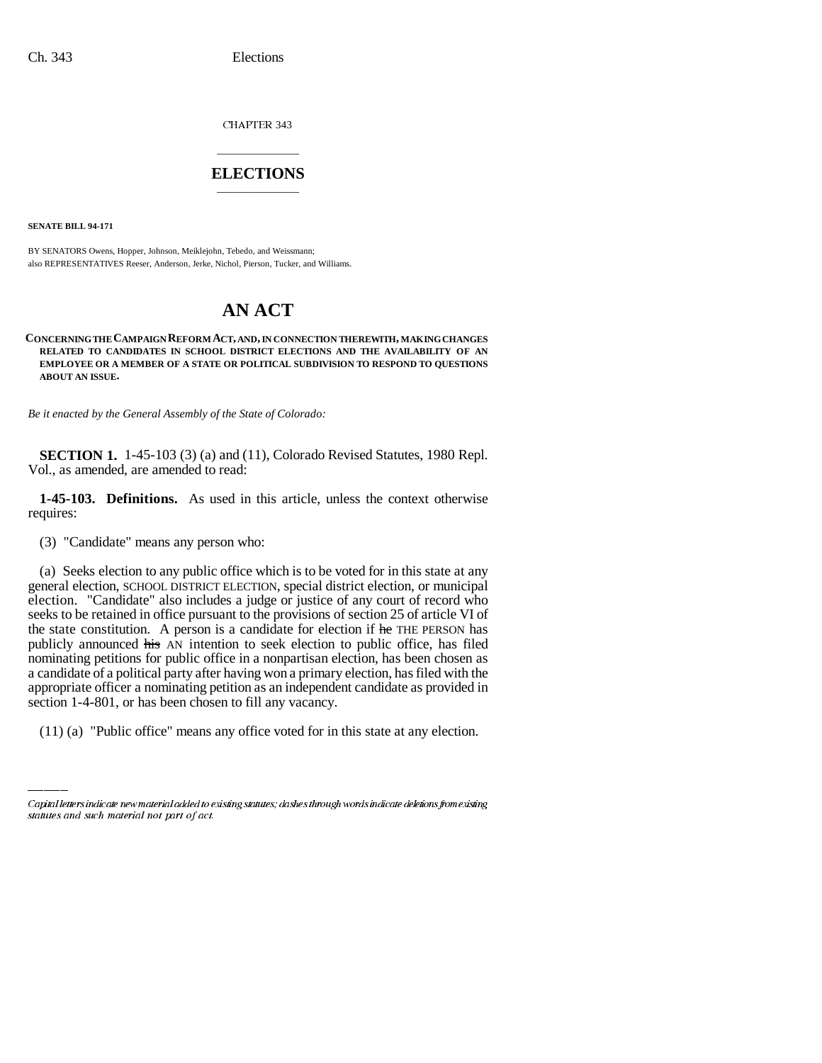CHAPTER 343

## \_\_\_\_\_\_\_\_\_\_\_\_\_\_\_ **ELECTIONS** \_\_\_\_\_\_\_\_\_\_\_\_\_\_\_

**SENATE BILL 94-171**

BY SENATORS Owens, Hopper, Johnson, Meiklejohn, Tebedo, and Weissmann; also REPRESENTATIVES Reeser, Anderson, Jerke, Nichol, Pierson, Tucker, and Williams.

## **AN ACT**

**CONCERNING THE CAMPAIGN REFORM ACT, AND, IN CONNECTION THEREWITH, MAKING CHANGES RELATED TO CANDIDATES IN SCHOOL DISTRICT ELECTIONS AND THE AVAILABILITY OF AN EMPLOYEE OR A MEMBER OF A STATE OR POLITICAL SUBDIVISION TO RESPOND TO QUESTIONS ABOUT AN ISSUE.**

*Be it enacted by the General Assembly of the State of Colorado:*

**SECTION 1.** 1-45-103 (3) (a) and (11), Colorado Revised Statutes, 1980 Repl. Vol., as amended, are amended to read:

**1-45-103. Definitions.** As used in this article, unless the context otherwise requires:

(3) "Candidate" means any person who:

appropriate officer a nominating petition as an independent candidate as provided in (a) Seeks election to any public office which is to be voted for in this state at any general election, SCHOOL DISTRICT ELECTION, special district election, or municipal election. "Candidate" also includes a judge or justice of any court of record who seeks to be retained in office pursuant to the provisions of section 25 of article VI of the state constitution. A person is a candidate for election if he THE PERSON has publicly announced his AN intention to seek election to public office, has filed nominating petitions for public office in a nonpartisan election, has been chosen as a candidate of a political party after having won a primary election, has filed with the section 1-4-801, or has been chosen to fill any vacancy.

(11) (a) "Public office" means any office voted for in this state at any election.

Capital letters indicate new material added to existing statutes; dashes through words indicate deletions from existing statutes and such material not part of act.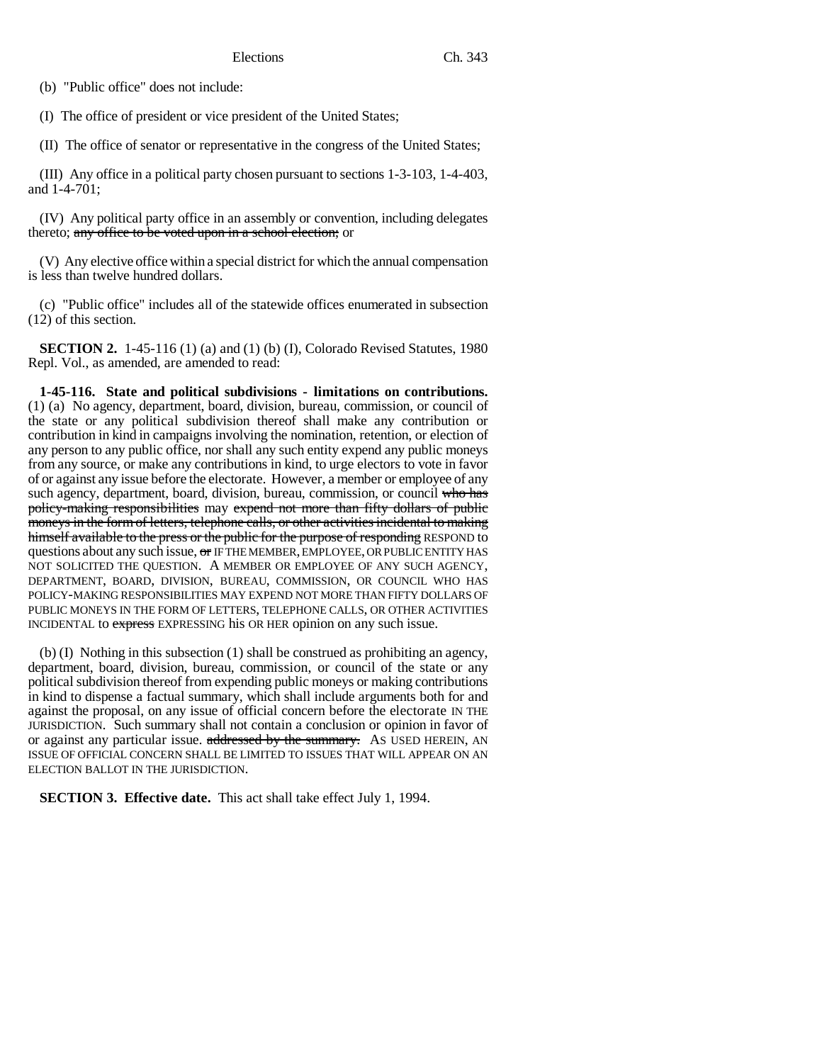(b) "Public office" does not include:

(I) The office of president or vice president of the United States;

(II) The office of senator or representative in the congress of the United States;

(III) Any office in a political party chosen pursuant to sections 1-3-103, 1-4-403, and 1-4-701;

(IV) Any political party office in an assembly or convention, including delegates thereto; any office to be voted upon in a school election; or

(V) Any elective office within a special district for which the annual compensation is less than twelve hundred dollars.

(c) "Public office" includes all of the statewide offices enumerated in subsection (12) of this section.

**SECTION 2.** 1-45-116 (1) (a) and (1) (b) (I), Colorado Revised Statutes, 1980 Repl. Vol., as amended, are amended to read:

**1-45-116. State and political subdivisions - limitations on contributions.** (1) (a) No agency, department, board, division, bureau, commission, or council of the state or any political subdivision thereof shall make any contribution or contribution in kind in campaigns involving the nomination, retention, or election of any person to any public office, nor shall any such entity expend any public moneys from any source, or make any contributions in kind, to urge electors to vote in favor of or against any issue before the electorate. However, a member or employee of any such agency, department, board, division, bureau, commission, or council who has policy-making responsibilities may expend not more than fifty dollars of public moneys in the form of letters, telephone calls, or other activities incidental to making himself available to the press or the public for the purpose of responding RESPOND to questions about any such issue, or IF THE MEMBER, EMPLOYEE, OR PUBLIC ENTITY HAS NOT SOLICITED THE QUESTION. A MEMBER OR EMPLOYEE OF ANY SUCH AGENCY, DEPARTMENT, BOARD, DIVISION, BUREAU, COMMISSION, OR COUNCIL WHO HAS POLICY-MAKING RESPONSIBILITIES MAY EXPEND NOT MORE THAN FIFTY DOLLARS OF PUBLIC MONEYS IN THE FORM OF LETTERS, TELEPHONE CALLS, OR OTHER ACTIVITIES INCIDENTAL to express EXPRESSING his OR HER opinion on any such issue.

(b) (I) Nothing in this subsection (1) shall be construed as prohibiting an agency, department, board, division, bureau, commission, or council of the state or any political subdivision thereof from expending public moneys or making contributions in kind to dispense a factual summary, which shall include arguments both for and against the proposal, on any issue of official concern before the electorate IN THE JURISDICTION. Such summary shall not contain a conclusion or opinion in favor of or against any particular issue. addressed by the summary. As USED HEREIN, AN ISSUE OF OFFICIAL CONCERN SHALL BE LIMITED TO ISSUES THAT WILL APPEAR ON AN ELECTION BALLOT IN THE JURISDICTION.

**SECTION 3. Effective date.** This act shall take effect July 1, 1994.